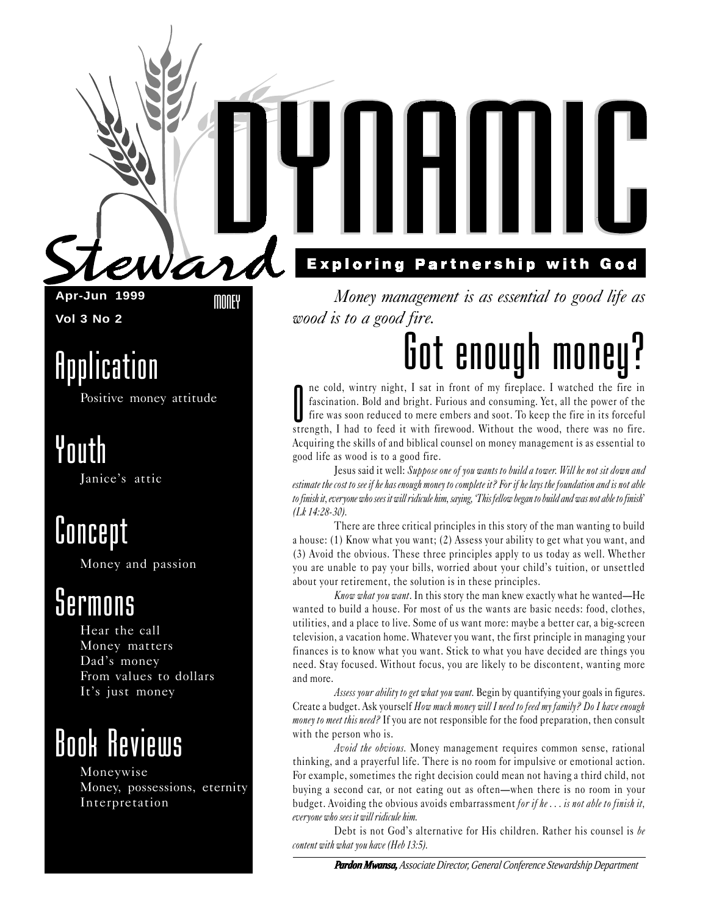**Apr-Jun 1999 Vol 3 No 2**

**MONEY** 

ar

## **Application**

Positive money attitude

### Youth

Ianice's attic

### Concept

Money and passion

### **Sermons**

Hear the call Money matters Dad's money From values to dollars It's just money

### Book Reviews

Moneywise Money, possessions, eternity Interpretation

### **Exploring Partnership with God**

Money management is as essential to good life as wood is to a good fire.

# Got enough money?

 $\prod_{\text{str}}$ ne cold, wintry night, I sat in front of my fireplace. I watched the fire in fascination. Bold and bright. Furious and consuming. Yet, all the power of the fire was soon reduced to mere embers and soot. To keep the fire in its forceful strength, I had to feed it with firewood. Without the wood, there was no fire. Acquiring the skills of and biblical counsel on money management is as essential to good life as wood is to a good fire.

Jesus said it well: Suppose one of you wants to build a tower. Will he not sit down and estimate the cost to see if he has enough money to complete it? For if he lays the foundation and is not able to finish it, everyone who sees it will ridicule him, saying, This fellow began to build and was not able to finish (Lk 14:28-30).

There are three critical principles in this story of the man wanting to build a house: (1) Know what you want; (2) Assess your ability to get what you want, and (3) Avoid the obvious. These three principles apply to us today as well. Whether you are unable to pay your bills, worried about your child's tuition, or unsettled about your retirement, the solution is in these principles.

Know what you want. In this story the man knew exactly what he wanted—He wanted to build a house. For most of us the wants are basic needs: food, clothes, utilities, and a place to live. Some of us want more: maybe a better car, a big-screen television, a vacation home. Whatever you want, the first principle in managing your finances is to know what you want. Stick to what you have decided are things you need. Stay focused. Without focus, you are likely to be discontent, wanting more and more.

Assess your ability to get what you want. Begin by quantifying your goals in figures. Create a budget. Ask yourself How much money will I need to feed my family? Do I have enough money to meet this need? If you are not responsible for the food preparation, then consult with the person who is.

Avoid the obvious. Money management requires common sense, rational thinking, and a prayerful life. There is no room for impulsive or emotional action. For example, sometimes the right decision could mean not having a third child, not buying a second car, or not eating out as often—when there is no room in your budget. Avoiding the obvious avoids embarrassment for if he  $\ldots$  is not able to finish it, everyone who sees it will ridicule him.

Debt is not God's alternative for His children. Rather his counsel is be content with what you have (Heb 13:5).

*Pardon Mwansa, Associate Director, General Conference Stewardship Department*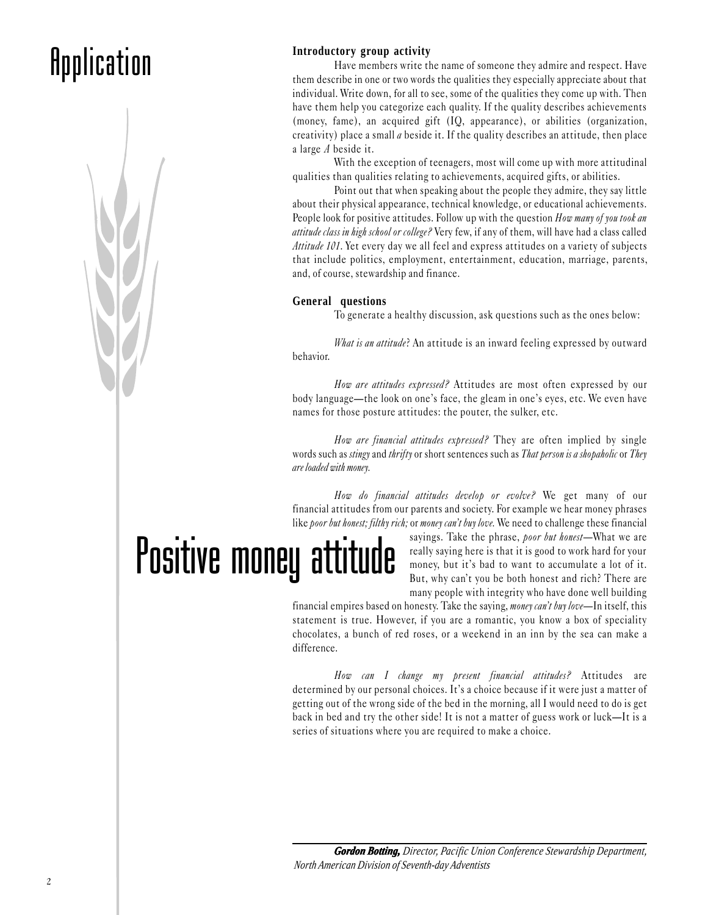## **Application**



### **Introductory group activity**

Have members write the name of someone they admire and respect. Have them describe in one or two words the qualities they especially appreciate about that individual. Write down, for all to see, some of the qualities they come up with. Then have them help you categorize each quality. If the quality describes achievements (money, fame), an acquired gift (IQ, appearance), or abilities (organization, creativity) place a small  $a$  beside it. If the quality describes an attitude, then place a large A beside it.

With the exception of teenagers, most will come up with more attitudinal qualities than qualities relating to achievements, acquired gifts, or abilities.

Point out that when speaking about the people they admire, they say little about their physical appearance, technical knowledge, or educational achievements. People look for positive attitudes. Follow up with the question How many of you took an attitude class in high school or college? Very few, if any of them, will have had a class called Attitude 101. Yet every day we all feel and express attitudes on a variety of subjects that include politics, employment, entertainment, education, marriage, parents, and, of course, stewardship and finance.

#### **General questions**

To generate a healthy discussion, ask questions such as the ones below:

What is an attitude? An attitude is an inward feeling expressed by outward behavior.

How are attitudes expressed? Attitudes are most often expressed by our body language—the look on one's face, the gleam in one's eyes, etc. We even have names for those posture attitudes: the pouter, the sulker, etc.

How are financial attitudes expressed? They are often implied by single words such as *stingy* and *thrifty* or short sentences such as *That person is a shopaholic* or *They* are loaded with money.

How do financial attitudes develop or evolve? We get many of our financial attitudes from our parents and society. For example we hear money phrases like poor but honest; filthy rich; or money can't buy love. We need to challenge these financial

Positive money atti

sayings. Take the phrase, *poor but honest*—What we are really saying here is that it is good to work hard for your money, but it's bad to want to accumulate a lot of it. But, why can't you be both honest and rich? There are many people with integrity who have done well building

financial empires based on honesty. Take the saying, money can't buy love—In itself, this statement is true. However, if you are a romantic, you know a box of speciality chocolates, a bunch of red roses, or a weekend in an inn by the sea can make a difference.

How can I change my present financial attitudes? Attitudes are determined by our personal choices. It's a choice because if it were just a matter of getting out of the wrong side of the bed in the morning, all I would need to do is get back in bed and try the other side! It is not a matter of guess work or luck—It is a series of situations where you are required to make a choice.

*Gordon Botting, Director, Pacific Union Conference Stewardship Department, North American Division of Seventh-day Adventists*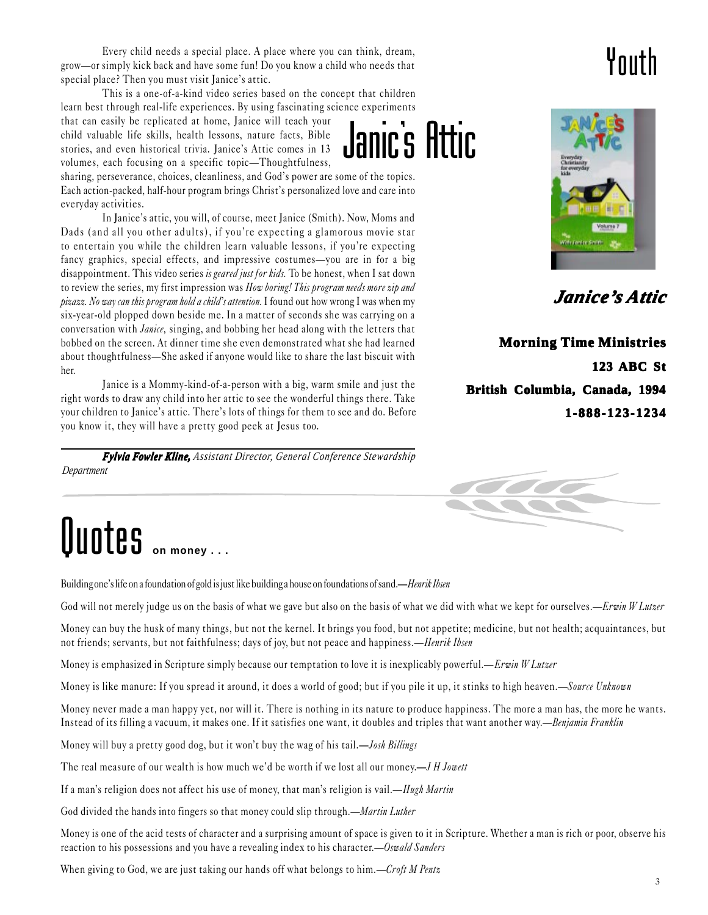Every child needs a special place. A place where you can think, dream, grow—or simply kick back and have some fun! Do you know a child who needs that special place? Then you must visit Janice's attic.

This is a one-of-a-kind video series based on the concept that children learn best through real-life experiences. By using fascinating science experiments

that can easily be replicated at home, Janice will teach your child valuable life skills, health lessons, nature facts, Bible stories, and even historical trivia. Janice's Attic comes in 13 volumes, each focusing on a specific topic—Thoughtfulness,

sharing, perseverance, choices, cleanliness, and God's power are some of the topics. Each action-packed, half-hour program brings Christ's personalized love and care into everyday activities.

In Janice's attic, you will, of course, meet Janice (Smith). Now, Moms and Dads (and all you other adults), if you're expecting a glamorous movie star to entertain you while the children learn valuable lessons, if you're expecting fancy graphics, special effects, and impressive costumes—you are in for a big disappointment. This video series is geared just for kids. To be honest, when I sat down to review the series, my first impression was How boring! This program needs more zip and pizazz. No way can this program hold a child's attention. I found out how wrong I was when my six-year-old plopped down beside me. In a matter of seconds she was carrying on a conversation with Janice, singing, and bobbing her head along with the letters that bobbed on the screen. At dinner time she even demonstrated what she had learned about thoughtfulness—She asked if anyone would like to share the last biscuit with her.

Janice is a Mommy-kind-of-a-person with a big, warm smile and just the right words to draw any child into her attic to see the wonderful things there. Take your children to Janice's attic. There's lots of things for them to see and do. Before you know it, they will have a pretty good peek at Jesus too.

*Fylvia Fowler Kline, Assistant Director, General Conference Stewardship Department*

# Quotes **on money . . .**

Building one's life on a foundation of gold is just like building a house on foundations of sand.—Henrik Ibsen

God will not merely judge us on the basis of what we gave but also on the basis of what we did with what we kept for ourselves.—Erwin W Lutzer

Janics Attic

Money can buy the husk of many things, but not the kernel. It brings you food, but not appetite; medicine, but not health; acquaintances, but not friends; servants, but not faithfulness; days of joy, but not peace and happiness.—Henrik Ibsen

Money is emphasized in Scripture simply because our temptation to love it is inexplicably powerful.—Erwin W Lutzer

Money is like manure: If you spread it around, it does a world of good; but if you pile it up, it stinks to high heaven.—Source Unknown

Money never made a man happy yet, nor will it. There is nothing in its nature to produce happiness. The more a man has, the more he wants. Instead of its filling a vacuum, it makes one. If it satisfies one want, it doubles and triples that want another way.—Benjamin Franklin

Money will buy a pretty good dog, but it won't buy the wag of his tail. $-$  Josh Billings

The real measure of our wealth is how much we'd be worth if we lost all our money. $-JH$  Jowett

If a man's religion does not affect his use of money, that man's religion is vail.—Hugh Martin

God divided the hands into fingers so that money could slip through.—Martin Luther

Money is one of the acid tests of character and a surprising amount of space is given to it in Scripture. Whether a man is rich or poor, observe his reaction to his possessions and you have a revealing index to his character.—Oswald Sanders

When giving to God, we are just taking our hands off what belongs to him. $\text{--}Crott$  M Pentz

### Youth



*Janice's s Attic*

**Morning Time Ministries 123 ABC St British Columbia, Canada, 1994 1-888-123-1234**

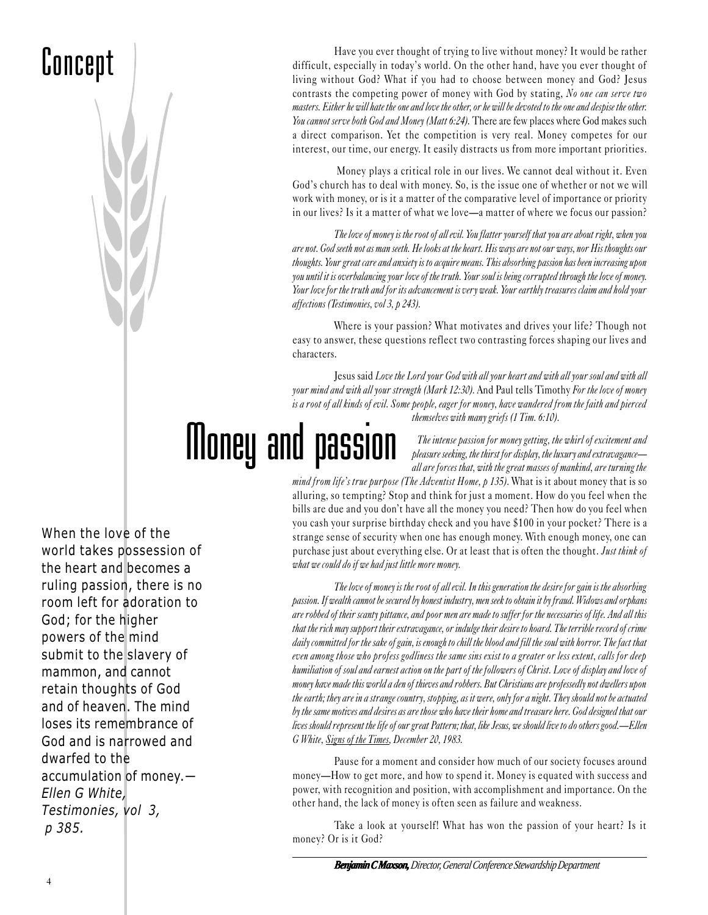## Concept



 Money plays a critical role in our lives. We cannot deal without it. Even God's church has to deal with money. So, is the issue one of whether or not we will work with money, or is it a matter of the comparative level of importance or priority in our lives? Is it a matter of what we love—a matter of where we focus our passion?

The love of money is the root of all evil. You flatter yourself that you are about right, when you are not. God seeth not as man seeth. He looks at the heart. His ways are not our ways, nor His thoughts our thoughts. Your great care and anxiety is to acquire means. This absorbing passion has been increasing upon you until it is overbalancing your love of the truth. Your soul is being corrupted through the love of money. Your love for the truth and for its advancement is very weak. Your earthly treasures claim and hold your affections (Testimonies, vol 3, p 243).

Where is your passion? What motivates and drives your life? Though not easy to answer, these questions reflect two contrasting forces shaping our lives and characters.

Jesus said Love the Lord your God with all your heart and with all your soul and with all your mind and with all your strength (Mark 12:30). And Paul tells Timothy For the love of money is a root of all kinds of evil. Some people, eager for money, have wandered from the faith and pierced themselves with many griefs (1 Tim. 6:10).

Money and passion

The intense passion for money getting, the whirl of excitement and pleasure seeking, the thirst for display, the luxury and extravagance all are forces that, with the great masses of mankind, are turning the

mind from life's true purpose (The Adventist Home,  $p$  135). What is it about money that is so alluring, so tempting? Stop and think for just a moment. How do you feel when the bills are due and you don't have all the money you need? Then how do you feel when you cash your surprise birthday check and you have \$100 in your pocket? There is a strange sense of security when one has enough money. With enough money, one can purchase just about everything else. Or at least that is often the thought. Just think of what we could do if we had just little more money.

The love of money is the root of all evil. In this generation the desire for gain is the absorbing passion. If wealth cannot be secured by honest industry, men seek to obtain it by fraud. Widows and orphans are robbed of their scanty pittance, and poor men are made to suffer for the necessaries of life. And all this that the rich may support their extravagance, or indulge their desire to hoard. The terrible record of crime daily committed for the sake of gain, is enough to chill the blood and fill the soul with horror. The fact that even among those who profess godliness the same sins exist to a greater or less extent, calls for deep humiliation of soul and earnest action on the part of the followers of Christ. Love of display and love of money have made this world a den of thieves and robbers. But Christians are professedly not dwellers upon the earth; they are in a strange country, stopping, as it were, only for a night. They should not be actuated by the same motives and desires as are those who have their home and treasure here. God designed that our lives should represent the life of our great Pattern; that, like Jesus, we should live to do others good.—Ellen G White, Signs of the Times, December 20, 1983.

Pause for a moment and consider how much of our society focuses around money—How to get more, and how to spend it. Money is equated with success and power, with recognition and position, with accomplishment and importance. On the other hand, the lack of money is often seen as failure and weakness.

Take a look at yourself! What has won the passion of your heart? Is it money? Or is it God?

When the love of the world takes possession of the heart and becomes a ruling passion, there is no room left for adoration to God; for the higher powers of the mind submit to the slavery of mammon, and cannot retain thoughts of God and of heaven. The mind loses its remembrance of God and is narrowed and dwarfed to the accumulation of money. Ellen G White, Testimonies, vol 3, p 385.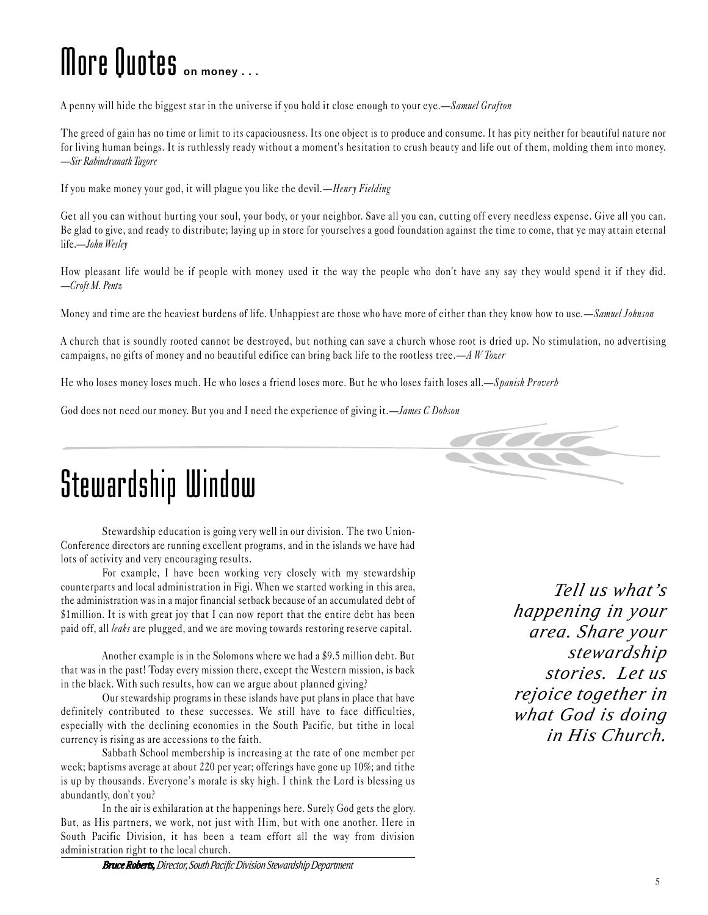## More Quotes **on money . . .**

A penny will hide the biggest star in the universe if you hold it close enough to your eye.-Samuel Grafton

The greed of gain has no time or limit to its capaciousness. Its one object is to produce and consume. It has pity neither for beautiful nature nor for living human beings. It is ruthlessly ready without a moment's hesitation to crush beauty and life out of them, molding them into money. Sir Rabindranath Tagore

If you make money your god, it will plague you like the devil.—Henry Fielding

Get all you can without hurting your soul, your body, or your neighbor. Save all you can, cutting off every needless expense. Give all you can. Be glad to give, and ready to distribute; laying up in store for yourselves a good foundation against the time to come, that ye may attain eternal life.-John Wesley

How pleasant life would be if people with money used it the way the people who don't have any say they would spend it if they did. Croft M. Pentz

Money and time are the heaviest burdens of life. Unhappiest are those who have more of either than they know how to use.—Samuel Johnson

A church that is soundly rooted cannot be destroyed, but nothing can save a church whose root is dried up. No stimulation, no advertising campaigns, no gifts of money and no beautiful edifice can bring back life to the rootless tree.  $-A W T o z e r$ 

He who loses money loses much. He who loses a friend loses more. But he who loses faith loses all.—Spanish Proverb

God does not need our money. But you and I need the experience of giving it.—James C Dobson

### Stewardship Window

Stewardship education is going very well in our division. The two Union-Conference directors are running excellent programs, and in the islands we have had lots of activity and very encouraging results.

For example, I have been working very closely with my stewardship counterparts and local administration in Figi. When we started working in this area, the administration was in a major financial setback because of an accumulated debt of \$1million. It is with great joy that I can now report that the entire debt has been paid off, all leaks are plugged, and we are moving towards restoring reserve capital.

Another example is in the Solomons where we had a \$9.5 million debt. But that was in the past! Today every mission there, except the Western mission, is back in the black. With such results, how can we argue about planned giving?

Our stewardship programs in these islands have put plans in place that have definitely contributed to these successes. We still have to face difficulties, especially with the declining economies in the South Pacific, but tithe in local currency is rising as are accessions to the faith.

Sabbath School membership is increasing at the rate of one member per week; baptisms average at about 220 per year; offerings have gone up 10%; and tithe is up by thousands. Everyone's morale is sky high. I think the Lord is blessing us abundantly, don't you?

In the air is exhilaration at the happenings here. Surely God gets the glory. But, as His partners, we work, not just with Him, but with one another. Here in South Pacific Division, it has been a team effort all the way from division administration right to the local church.

*Tell us what's happening in your area. Share your stewardship stories. Let us rejoice together in what God is doing in His Church.*

*Bruce Roberts, Director, South Pacific Division Stewardship Department*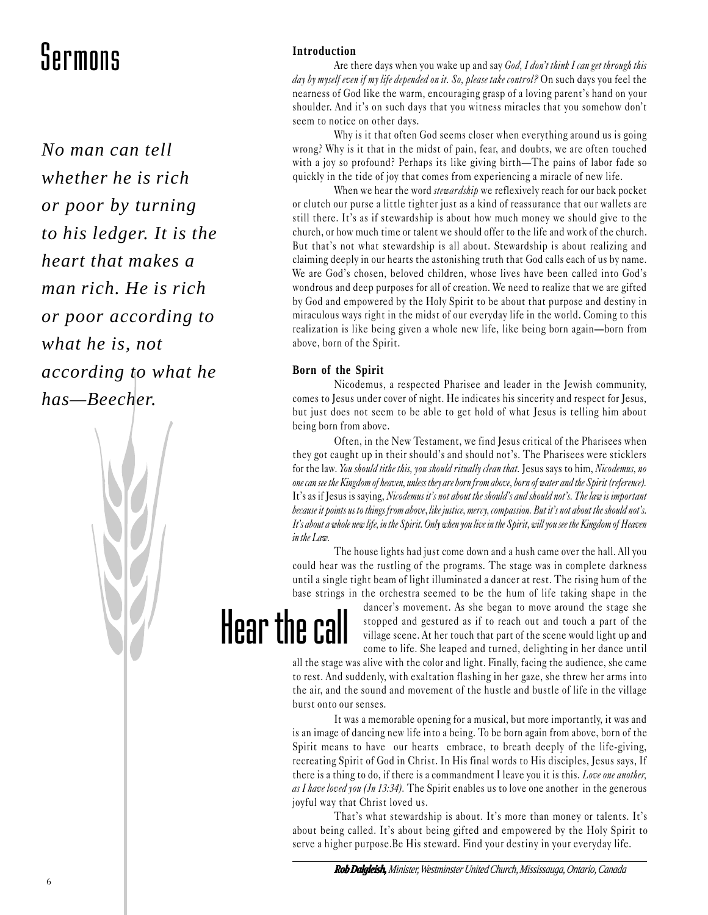### Sermons

*No man can tell whether he is rich or poor by turning to his ledger. It is the heart that makes a man rich. He is rich or poor according to what he is, not according to what he has—Beecher.*



### **Introduction**

Are there days when you wake up and say  $God, I don't think I can get through this$ day by myself even if my life depended on it. So, please take control? On such days you feel the nearness of God like the warm, encouraging grasp of a loving parent's hand on your shoulder. And it's on such days that you witness miracles that you somehow don't seem to notice on other days.

Why is it that often God seems closer when everything around us is going wrong? Why is it that in the midst of pain, fear, and doubts, we are often touched with a joy so profound? Perhaps its like giving birth—The pains of labor fade so quickly in the tide of joy that comes from experiencing a miracle of new life.

When we hear the word *stewardship* we reflexively reach for our back pocket or clutch our purse a little tighter just as a kind of reassurance that our wallets are still there. It's as if stewardship is about how much money we should give to the church, or how much time or talent we should offer to the life and work of the church. But that's not what stewardship is all about. Stewardship is about realizing and claiming deeply in our hearts the astonishing truth that God calls each of us by name. We are God's chosen, beloved children, whose lives have been called into God's wondrous and deep purposes for all of creation. We need to realize that we are gifted by God and empowered by the Holy Spirit to be about that purpose and destiny in miraculous ways right in the midst of our everyday life in the world. Coming to this realization is like being given a whole new life, like being born again—born from above, born of the Spirit.

#### **Born of the Spirit**

Nicodemus, a respected Pharisee and leader in the Jewish community, comes to Jesus under cover of night. He indicates his sincerity and respect for Jesus, but just does not seem to be able to get hold of what Jesus is telling him about being born from above.

Often, in the New Testament, we find Jesus critical of the Pharisees when they got caught up in their should's and should not's. The Pharisees were sticklers for the law. You should tithe this, you should ritually clean that. Jesus says to him, Nicodemus, no one can see the Kingdom of heaven, unless they are born from above, born of water and the Spirit (reference). It's as if Jesus is saying, Nicodemus it's not about the should's and should not's. The law is important because it points us to things from above, like justice, mercy, compassion. But it's not about the should not's. Its about a whole new life, in the Spirit. Only when you live in the Spirit, will you see the Kingdom of Heaven in the Law.

The house lights had just come down and a hush came over the hall. All you could hear was the rustling of the programs. The stage was in complete darkness until a single tight beam of light illuminated a dancer at rest. The rising hum of the base strings in the orchestra seemed to be the hum of life taking shape in the

# Hear the call

dancer's movement. As she began to move around the stage she stopped and gestured as if to reach out and touch a part of the village scene. At her touch that part of the scene would light up and come to life. She leaped and turned, delighting in her dance until

all the stage was alive with the color and light. Finally, facing the audience, she came to rest. And suddenly, with exaltation flashing in her gaze, she threw her arms into the air, and the sound and movement of the hustle and bustle of life in the village burst onto our senses.

It was a memorable opening for a musical, but more importantly, it was and is an image of dancing new life into a being. To be born again from above, born of the Spirit means to have our hearts embrace, to breath deeply of the life-giving, recreating Spirit of God in Christ. In His final words to His disciples, Jesus says, If there is a thing to do, if there is a commandment I leave you it is this. Love one another, as I have loved you (In 13:34). The Spirit enables us to love one another in the generous joyful way that Christ loved us.

That's what stewardship is about. It's more than money or talents. It's about being called. It's about being gifted and empowered by the Holy Spirit to serve a higher purpose.Be His steward. Find your destiny in your everyday life.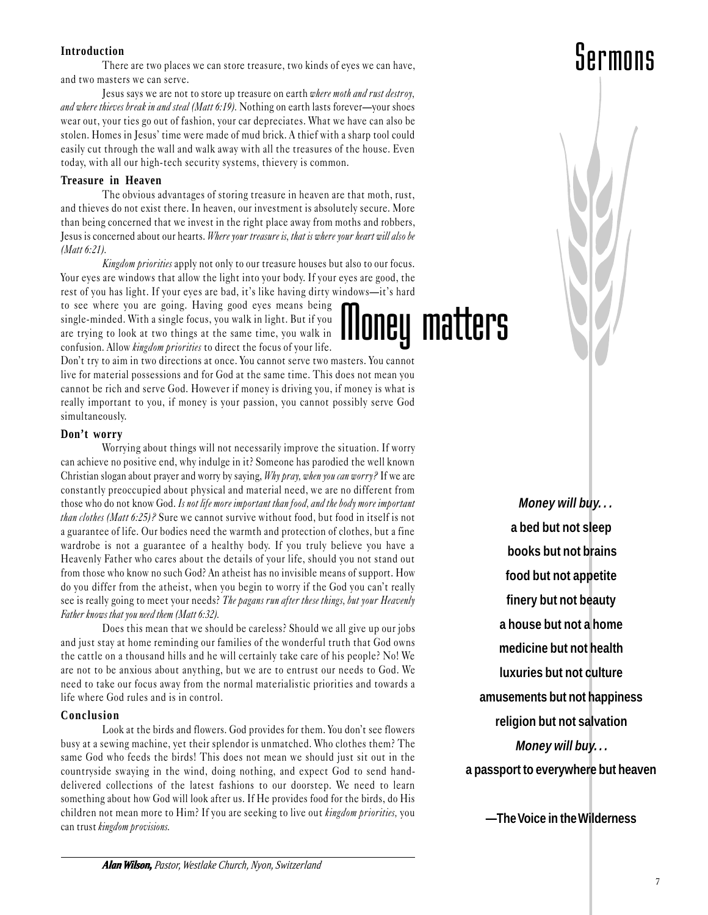Introduction<br>
There are two places we can store treasure, two kinds of eyes we can have,<br>
and two mesters we can serve are served and two masters we can serve.

Jesus says we are not to store up treasure on earth where moth and rust destroy, and where thieves break in and steal (Matt 6:19). Nothing on earth lasts forever—your shoes wear out, your ties go out of fashion, your car depreciates. What we have can also be stolen. Homes in Jesus' time were made of mud brick. A thief with a sharp tool could easily cut through the wall and walk away with all the treasures of the house. Even today, with all our high-tech security systems, thievery is common.

#### **Treasure in Heaven**

The obvious advantages of storing treasure in heaven are that moth, rust, and thieves do not exist there. In heaven, our investment is absolutely secure. More than being concerned that we invest in the right place away from moths and robbers, Jesus is concerned about our hearts. Where your treasure is, that is where your heart will also be (Matt 6:21).

Kingdom priorities apply not only to our treasure houses but also to our focus. Your eyes are windows that allow the light into your body. If your eyes are good, the rest of you has light. If your eyes are bad, it's like having dirty windows-it's hard

to see where you are going. Having good eyes means being single-minded. With a single focus, you walk in light. But if you are trying to look at two things at the same time, you walk in confusion. Allow kingdom priorities to direct the focus of your life.

Don't try to aim in two directions at once. You cannot serve two masters. You cannot live for material possessions and for God at the same time. This does not mean you cannot be rich and serve God. However if money is driving you, if money is what is really important to you, if money is your passion, you cannot possibly serve God simultaneously.

#### **Don't worry**

Worrying about things will not necessarily improve the situation. If worry can achieve no positive end, why indulge in it? Someone has parodied the well known Christian slogan about prayer and worry by saying, Why pray, when you can worry? If we are constantly preoccupied about physical and material need, we are no different from those who do not know God. Is not life more important than food, and the body more important than clothes (Matt 6:25)? Sure we cannot survive without food, but food in itself is not a guarantee of life. Our bodies need the warmth and protection of clothes, but a fine wardrobe is not a guarantee of a healthy body. If you truly believe you have a Heavenly Father who cares about the details of your life, should you not stand out from those who know no such God? An atheist has no invisible means of support. How do you differ from the atheist, when you begin to worry if the God you can't really see is really going to meet your needs? The pagans run after these things, but your Heavenly Father knows that you need them (Matt 6:32).

Does this mean that we should be careless? Should we all give up our jobs and just stay at home reminding our families of the wonderful truth that God owns the cattle on a thousand hills and he will certainly take care of his people? No! We are not to be anxious about anything, but we are to entrust our needs to God. We need to take our focus away from the normal materialistic priorities and towards a life where God rules and is in control.

#### **Conclusion**

Look at the birds and flowers. God provides for them. You don't see flowers busy at a sewing machine, yet their splendor is unmatched. Who clothes them? The same God who feeds the birds! This does not mean we should just sit out in the countryside swaying in the wind, doing nothing, and expect God to send handdelivered collections of the latest fashions to our doorstep. We need to learn something about how God will look after us. If He provides food for the birds, do His children not mean more to Him? If you are seeking to live out kingdom priorities, you can trust kingdom provisions.

### **Money will buy. . . a bed but not sleep books but not brains food but not appetite finery but not beauty a house but not a home medicine but not health luxuries but not culture amusements but not happiness religion but not salvation Money will buy. . . a passport to everywhere but heaven**

**—The Voice in the Wilderness**

*Alan Wilson, Pastor, Westlake Church, Nyon, Switzerland*

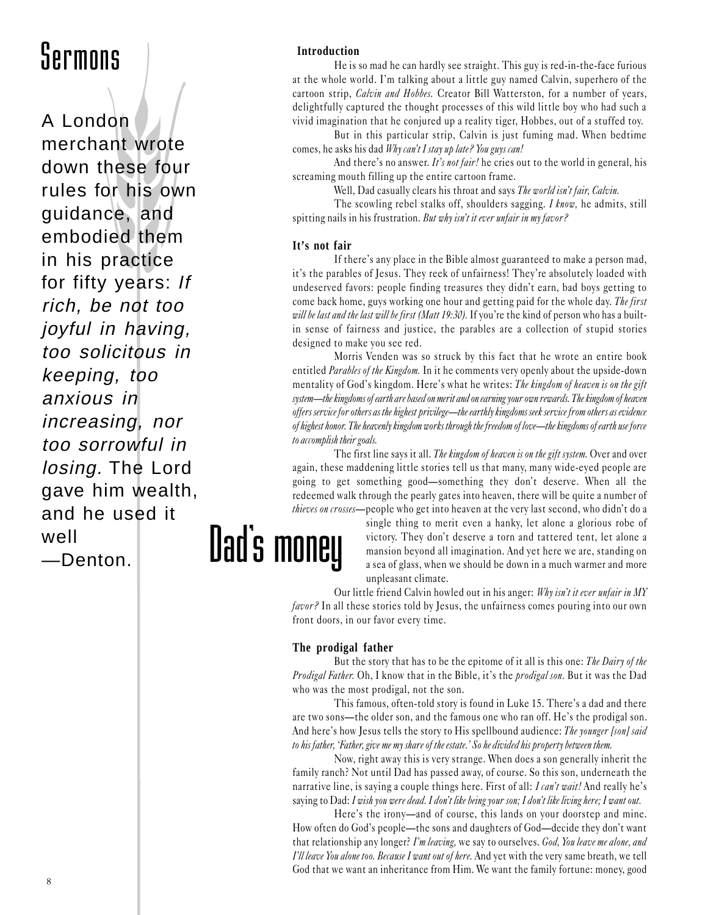### Sermons **Introduction**

A London merchant wrote down these four rules for his own guidance, and embodied them in his practice for fifty years: If rich, be not too joyful in having, too solicitous in keeping, too anxious in increasing, nor too sorrowful in losing. The Lord gave him wealth, and he used it well well **Uad's money** 

He is so mad he can hardly see straight. This guy is red-in-the-face furious at the whole world. I'm talking about a little guy named Calvin, superhero of the cartoon strip, *Calvin and Hobbes*. Creator Bill Watterston, for a number of years, delightfully captured the thought processes of this wild little boy who had such a vivid imagination that he conjured up a reality tiger, Hobbes, out of a stuffed toy.

But in this particular strip, Calvin is just fuming mad. When bedtime comes, he asks his dad  $Why$  can't I stay up late? You guys can!

And there's no answer. It's not fair! he cries out to the world in general, his screaming mouth filling up the entire cartoon frame.

Well, Dad casually clears his throat and says The world isn't fair, Calvin.

The scowling rebel stalks off, shoulders sagging. *I know*, he admits, still spitting nails in his frustration. But why isn't it ever unfair in my favor?

#### **It's not fair**

If there's any place in the Bible almost guaranteed to make a person mad, it's the parables of Jesus. They reek of unfairness! They're absolutely loaded with undeserved favors: people finding treasures they didn't earn, bad boys getting to come back home, guys working one hour and getting paid for the whole day. The first will be last and the last will be first (Matt 19:30). If you're the kind of person who has a builtin sense of fairness and justice, the parables are a collection of stupid stories designed to make you see red.

Morris Venden was so struck by this fact that he wrote an entire book entitled *Parables of the Kingdom*. In it he comments very openly about the upside-down mentality of God's kingdom. Here's what he writes: The kingdom of heaven is on the gift system—the kingdoms of earth are based on merit and on earning your own rewards. The kingdom of heaven offers service for others as the highest privilege—the earthly kingdoms seek service from others as evidence of highest honor. The heavenly kingdom works through the freedom of love-the kingdoms of earth use force to accomplish their goals.

The first line says it all. The kingdom of heaven is on the gift system. Over and over again, these maddening little stories tell us that many, many wide-eyed people are going to get something good—something they don't deserve. When all the redeemed walk through the pearly gates into heaven, there will be quite a number of thieves on crosses—people who get into heaven at the very last second, who didn't do a

> single thing to merit even a hanky, let alone a glorious robe of victory. They don't deserve a torn and tattered tent, let alone a mansion beyond all imagination. And yet here we are, standing on a sea of glass, when we should be down in a much warmer and more unpleasant climate.

Our little friend Calvin howled out in his anger:  $Why$  isn't it ever unfair in MY favor? In all these stories told by Jesus, the unfairness comes pouring into our own front doors, in our favor every time.

#### **The prodigal father**

But the story that has to be the epitome of it all is this one: The Dairy of the Prodigal Father. Oh, I know that in the Bible, it's the *prodigal son*. But it was the Dad who was the most prodigal, not the son.

This famous, often-told story is found in Luke 15. There's a dad and there are two sons—the older son, and the famous one who ran off. He's the prodigal son. And here's how Jesus tells the story to His spellbound audience: The younger [son] said to his father, Father, give me my share of the estate. So he divided his property between them.

Now, right away this is very strange. When does a son generally inherit the family ranch? Not until Dad has passed away, of course. So this son, underneath the narrative line, is saying a couple things here. First of all:  $I can't wait!$  And really he's saying to Dad: I wish you were dead. I don't like being your son; I don't like living here; I want out.

Here's the irony—and of course, this lands on your doorstep and mine. How often do God's people—the sons and daughters of God—decide they don't want that relationship any longer? I'm leaving, we say to ourselves. God, You leave me alone, and I'll leave You alone too. Because I want out of here. And yet with the very same breath, we tell God that we want an inheritance from Him. We want the family fortune: money, good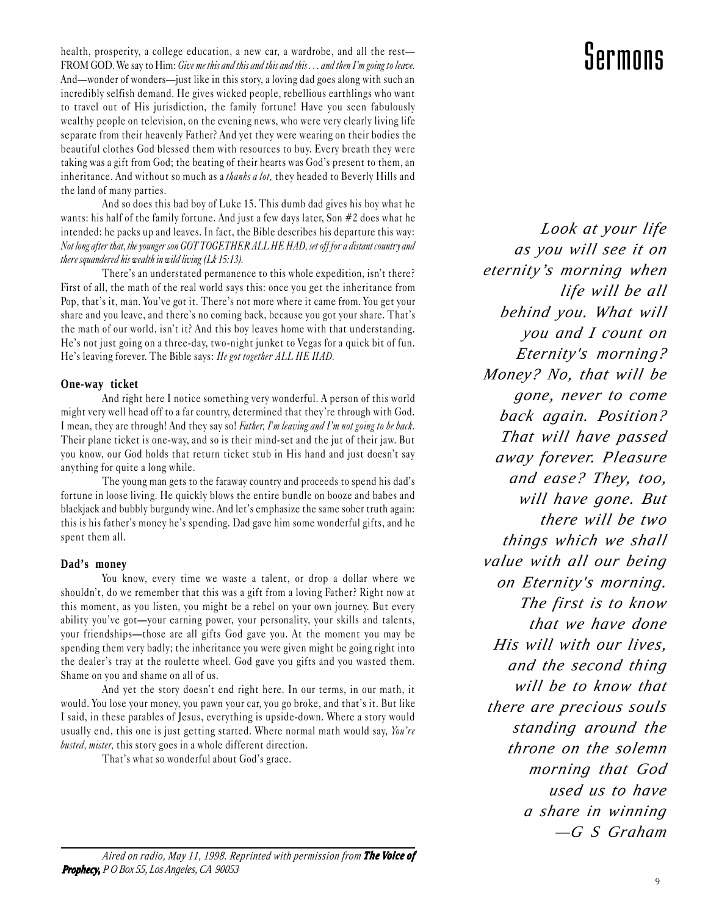health, prosperity, a college education, a new car, a wardrobe, and all the rest—<br>FROM GOD. We say to Him: *Give me this and this and this ... and then I'm going to leave.*<br>And a mender of greater shirt like in this carry And—wonder of wonders—just like in this story, a loving dad goes along with such an incredibly selfish demand. He gives wicked people, rebellious earthlings who want to travel out of His jurisdiction, the family fortune! Have you seen fabulously wealthy people on television, on the evening news, who were very clearly living life separate from their heavenly Father? And yet they were wearing on their bodies the beautiful clothes God blessed them with resources to buy. Every breath they were taking was a gift from God; the beating of their hearts was God's present to them, an inheritance. And without so much as a *thanks a lot*, they headed to Beverly Hills and the land of many parties.

And so does this bad boy of Luke 15. This dumb dad gives his boy what he wants: his half of the family fortune. And just a few days later, Son #2 does what he intended: he packs up and leaves. In fact, the Bible describes his departure this way: Not long after that, the younger son GOT TOGETHER ALL HE HAD, set off for a distant country and there squandered his wealth in wild living (Lk 15:13).

There's an understated permanence to this whole expedition, isn't there? First of all, the math of the real world says this: once you get the inheritance from Pop, that's it, man. You've got it. There's not more where it came from. You get your share and you leave, and there's no coming back, because you got your share. That's the math of our world, isn't it? And this boy leaves home with that understanding. He's not just going on a three-day, two-night junket to Vegas for a quick bit of fun. He's leaving forever. The Bible says: He got together ALL HE HAD.

#### **One-way ticket**

And right here I notice something very wonderful. A person of this world might very well head off to a far country, determined that they're through with God. I mean, they are through! And they say so! Father, I'm leaving and I'm not going to be back. Their plane ticket is one-way, and so is their mind-set and the jut of their jaw. But you know, our God holds that return ticket stub in His hand and just doesn't say anything for quite a long while.

The young man gets to the faraway country and proceeds to spend his dad's fortune in loose living. He quickly blows the entire bundle on booze and babes and blackjack and bubbly burgundy wine. And let's emphasize the same sober truth again: this is his father's money he's spending. Dad gave him some wonderful gifts, and he spent them all.

### **Dad's money**

You know, every time we waste a talent, or drop a dollar where we shouldn't, do we remember that this was a gift from a loving Father? Right now at this moment, as you listen, you might be a rebel on your own journey. But every ability you've got-your earning power, your personality, your skills and talents, your friendships—those are all gifts God gave you. At the moment you may be spending them very badly; the inheritance you were given might be going right into the dealer's tray at the roulette wheel. God gave you gifts and you wasted them. Shame on you and shame on all of us.

And yet the story doesn't end right here. In our terms, in our math, it would. You lose your money, you pawn your car, you go broke, and that's it. But like I said, in these parables of Jesus, everything is upside-down. Where a story would usually end, this one is just getting started. Where normal math would say, You're busted, mister, this story goes in a whole different direction.

That's what so wonderful about God's grace.

*Look at your life as you will see it on eternity's morning when life will be all behind you. What will you and I count on Eternity's morning? Money? No, that will be gone, never to come back again. Position? That will have passed away forever. Pleasure and ease? They, too, will have gone. But there will be two things which we shall value with all our being on Eternity's morning. The first is to know that we have done His will with our lives, and the second thing will be to know that there are precious souls standing around the throne on the solemn morning that God used us to have a share in winning —G S Graham*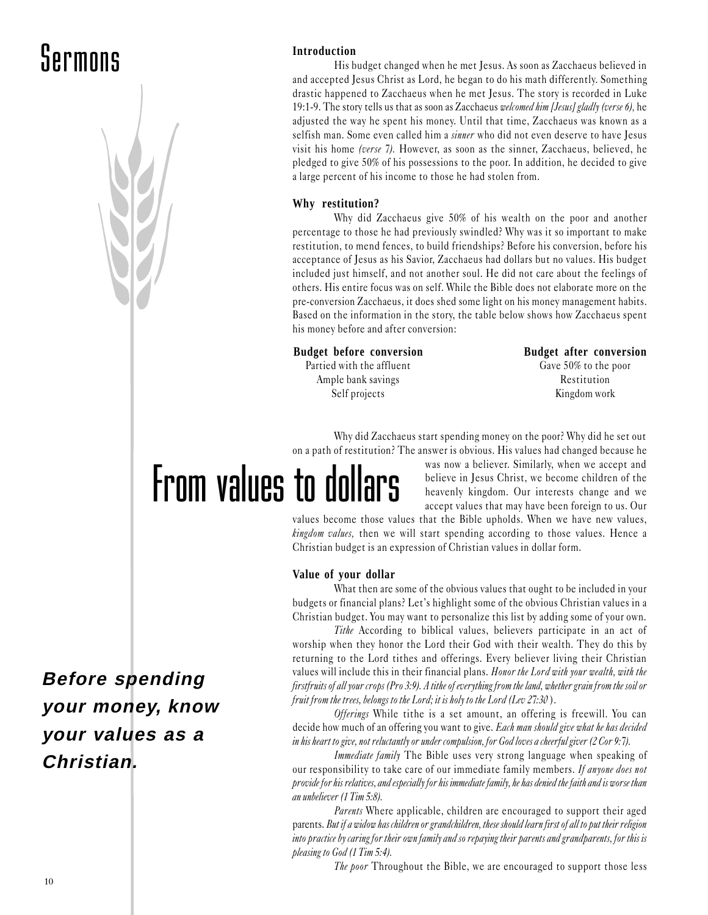### Sermons

#### **Introduction**

His budget changed when he met Jesus. As soon as Zacchaeus believed in and accepted Jesus Christ as Lord, he began to do his math differently. Something drastic happened to Zacchaeus when he met Jesus. The story is recorded in Luke 19:1-9. The story tells us that as soon as Zacchaeus welcomed him [Jesus] gladly (verse 6), he adjusted the way he spent his money. Until that time, Zacchaeus was known as a selfish man. Some even called him a *sinner* who did not even deserve to have Jesus visit his home (verse 7). However, as soon as the sinner, Zacchaeus, believed, he pledged to give 50% of his possessions to the poor. In addition, he decided to give a large percent of his income to those he had stolen from.

#### **Why restitution?**

Why did Zacchaeus give 50% of his wealth on the poor and another percentage to those he had previously swindled? Why was it so important to make restitution, to mend fences, to build friendships? Before his conversion, before his acceptance of Jesus as his Savior, Zacchaeus had dollars but no values. His budget included just himself, and not another soul. He did not care about the feelings of others. His entire focus was on self. While the Bible does not elaborate more on the pre-conversion Zacchaeus, it does shed some light on his money management habits. Based on the information in the story, the table below shows how Zacchaeus spent his money before and after conversion:

#### **Budget before conversion**

Partied with the affluent Ample bank savings Self projects

#### **Budget after conversion**

Gave 50% to the poor Restitution Kingdom work

Why did Zacchaeus start spending money on the poor? Why did he set out on a path of restitution? The answer is obvious. His values had changed because he

From values to dollars

was now a believer. Similarly, when we accept and believe in Jesus Christ, we become children of the heavenly kingdom. Our interests change and we accept values that may have been foreign to us. Our

values become those values that the Bible upholds. When we have new values, kingdom values, then we will start spending according to those values. Hence a Christian budget is an expression of Christian values in dollar form.

#### **Value of your dollar**

What then are some of the obvious values that ought to be included in your budgets or financial plans? Let's highlight some of the obvious Christian values in a Christian budget. You may want to personalize this list by adding some of your own.

Tithe According to biblical values, believers participate in an act of worship when they honor the Lord their God with their wealth. They do this by returning to the Lord tithes and offerings. Every believer living their Christian values will include this in their financial plans. Honor the Lord with your wealth, with the firstfruits of all your crops (Pro 3:9). A tithe of everything from the land, whether grain from the soil or fruit from the trees, belongs to the Lord; it is holy to the Lord (Lev 27:30).

Offerings While tithe is a set amount, an offering is freewill. You can decide how much of an offering you want to give. Each man should give what he has decided in his heart to give, not reluctantly or under compulsion, for God loves a cheerful giver (2 Cor 9:7).

Immediate family The Bible uses very strong language when speaking of our responsibility to take care of our immediate family members. If anyone does not provide for his relatives, and especially for his immediate family, he has denied the faith and is worse than an unbeliever (1 Tim 5:8).

Parents Where applicable, children are encouraged to support their aged parents. But if a widow has children or grandchildren, these should learn first of all to put their religion into practice by caring for their own family and so repaying their parents and grandparents, for this is pleasing to God (1 Tim 5:4).

The poor Throughout the Bible, we are encouraged to support those less

**Before spending your money, know your values as a Christian.**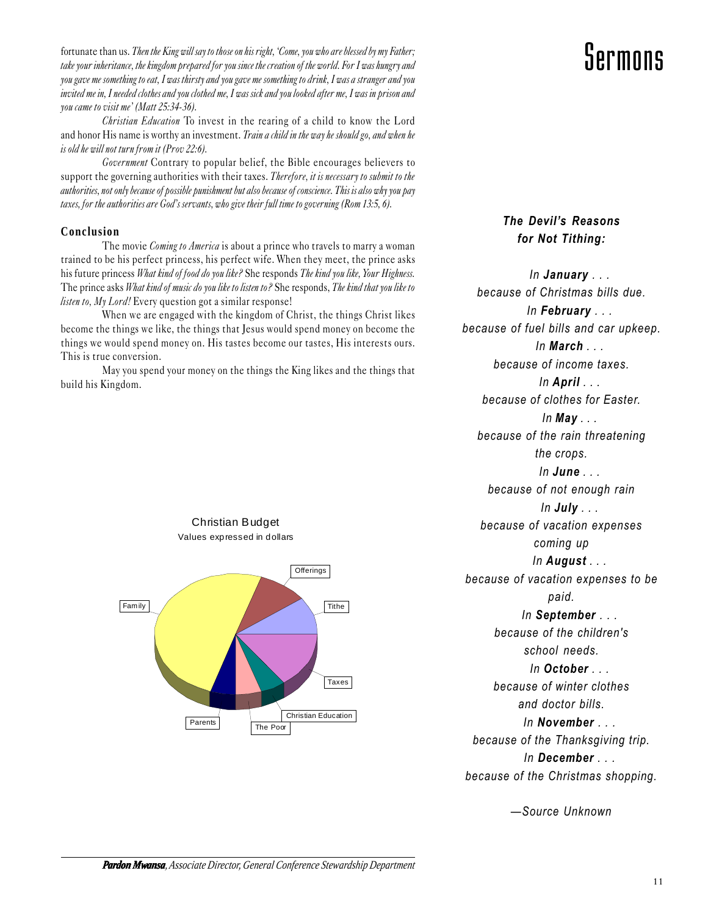fortunate than us. Then the King will say to those on his right, 'Come, you who are blessed by my Father; take your inheritance, the kingdom prepared for you since the creation of the world. For I was hungry and you gave me something to eat, I was thirsty and you gave me something to drink, I was a stranger and you invited me in, I needed clothes and you clothed me, I was sick and you looked after me, I was in prison and you came to visit me' (Matt 25:34-36).

Christian Education To invest in the rearing of a child to know the Lord and honor His name is worthy an investment. Train a child in the way he should go, and when he is old he will not turn from it (Prov 22:6).

Government Contrary to popular belief, the Bible encourages believers to support the governing authorities with their taxes. Therefore, it is necessary to submit to the authorities, not only because of possible punishment but also because of conscience. This is also why you pay taxes, for the authorities are God's servants, who give their full time to governing (Rom 13:5, 6).

#### **Conclusion**

The movie *Coming to America* is about a prince who travels to marry a woman trained to be his perfect princess, his perfect wife. When they meet, the prince asks his future princess What kind of food do you like? She responds The kind you like, Your Highness. The prince asks What kind of music do you like to listen to? She responds, The kind that you like to listen to,  $My$  Lord! Every question got a similar response!

When we are engaged with the kingdom of Christ, the things Christ likes become the things we like, the things that Jesus would spend money on become the things we would spend money on. His tastes become our tastes, His interests ours. This is true conversion.

May you spend your money on the things the King likes and the things that build his Kingdom.



Christian Budget

### Sermons

### The Devil's Reasons for Not Tithing:

In **January** . . . because of Christmas bills due. In February . . . because of fuel bills and car upkeep. In March . . . because of income taxes. In April . . . because of clothes for Easter. In May . . . because of the rain threatening the crops. In June . . . because of not enough rain In **July** . . . because of vacation expenses coming up In **August** . . . because of vacation expenses to be paid. In September . . . because of the children's school needs. In October . . . because of winter clothes and doctor bills. In November . . . because of the Thanksgiving trip. In December . . . because of the Christmas shopping.

Source Unknown

*Pardon Mwansa, Associate Director, General Conference Stewardship Department*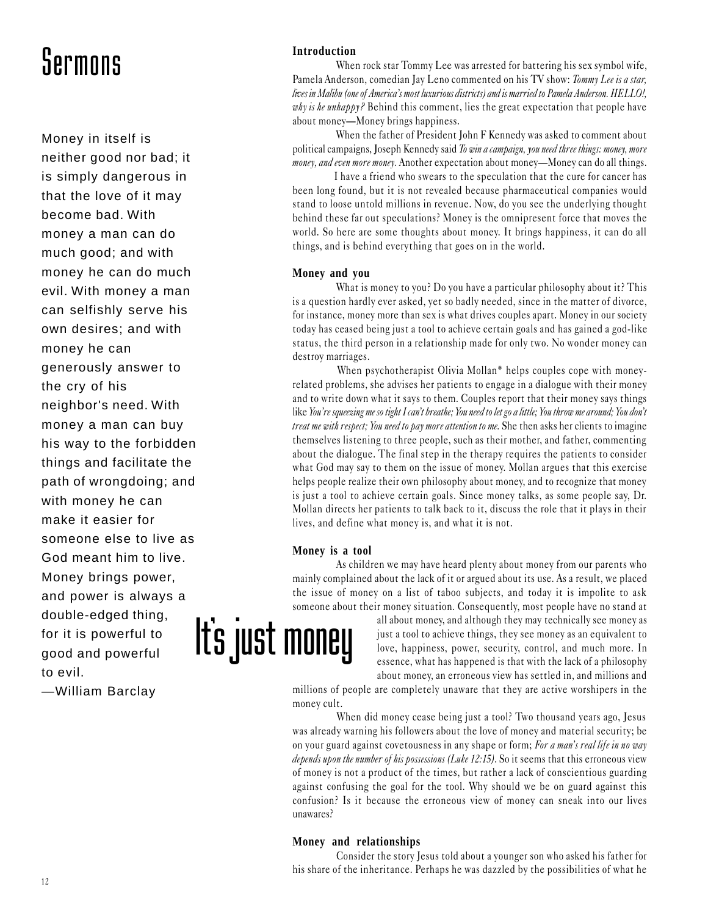### Sermons **Introduction**

Money in itself is neither good nor bad; it is simply dangerous in that the love of it may become bad. With money a man can do much good; and with money he can do much evil. With money a man can selfishly serve his own desires; and with money he can generously answer to the cry of his neighbor's need. With money a man can buy his way to the forbidden things and facilitate the path of wrongdoing; and with money he can make it easier for someone else to live as God meant him to live. Money brings power, and power is always a double-edged thing, for it is powerful to good and powerful to evil.

—William Barclay

 When rock star Tommy Lee was arrested for battering his sex symbol wife, Pamela Anderson, comedian Jay Leno commented on his TV show: Tommy Lee is a star, lives in Malibu (one of America's most luxurious districts) and is married to Pamela Anderson. HELLO!,  $why$  is he unhappy? Behind this comment, lies the great expectation that people have about money—Money brings happiness.

 When the father of President John F Kennedy was asked to comment about political campaigns, Joseph Kennedy said To win a campaign, you need three things: money, more money, and even more money. Another expectation about money—Money can do all things.

I have a friend who swears to the speculation that the cure for cancer has been long found, but it is not revealed because pharmaceutical companies would stand to loose untold millions in revenue. Now, do you see the underlying thought behind these far out speculations? Money is the omnipresent force that moves the world. So here are some thoughts about money. It brings happiness, it can do all things, and is behind everything that goes on in the world.

#### **Money and you**

 What is money to you? Do you have a particular philosophy about it? This is a question hardly ever asked, yet so badly needed, since in the matter of divorce, for instance, money more than sex is what drives couples apart. Money in our society today has ceased being just a tool to achieve certain goals and has gained a god-like status, the third person in a relationship made for only two. No wonder money can destroy marriages.

When psychotherapist Olivia Mollan<sup>\*</sup> helps couples cope with moneyrelated problems, she advises her patients to engage in a dialogue with their money and to write down what it says to them. Couples report that their money says things like You're squeezing me so tight I can't breathe; You need to let go a little; You throw me around; You don't treat me with respect; You need to pay more attention to me. She then asks her clients to imagine themselves listening to three people, such as their mother, and father, commenting about the dialogue. The final step in the therapy requires the patients to consider what God may say to them on the issue of money. Mollan argues that this exercise helps people realize their own philosophy about money, and to recognize that money is just a tool to achieve certain goals. Since money talks, as some people say, Dr. Mollan directs her patients to talk back to it, discuss the role that it plays in their lives, and define what money is, and what it is not.

#### **Money is a tool**

 As children we may have heard plenty about money from our parents who mainly complained about the lack of it or argued about its use. As a result, we placed the issue of money on a list of taboo subjects, and today it is impolite to ask someone about their money situation. Consequently, most people have no stand at

Its just money

all about money, and although they may technically see money as just a tool to achieve things, they see money as an equivalent to love, happiness, power, security, control, and much more. In essence, what has happened is that with the lack of a philosophy about money, an erroneous view has settled in, and millions and

millions of people are completely unaware that they are active worshipers in the money cult.

 When did money cease being just a tool? Two thousand years ago, Jesus was already warning his followers about the love of money and material security; be on your guard against covetousness in any shape or form; For a man's real life in no way depends upon the number of his possessions (Luke 12:15). So it seems that this erroneous view of money is not a product of the times, but rather a lack of conscientious guarding against confusing the goal for the tool. Why should we be on guard against this confusion? Is it because the erroneous view of money can sneak into our lives unawares?

#### **Money and relationships**

 Consider the story Jesus told about a younger son who asked his father for his share of the inheritance. Perhaps he was dazzled by the possibilities of what he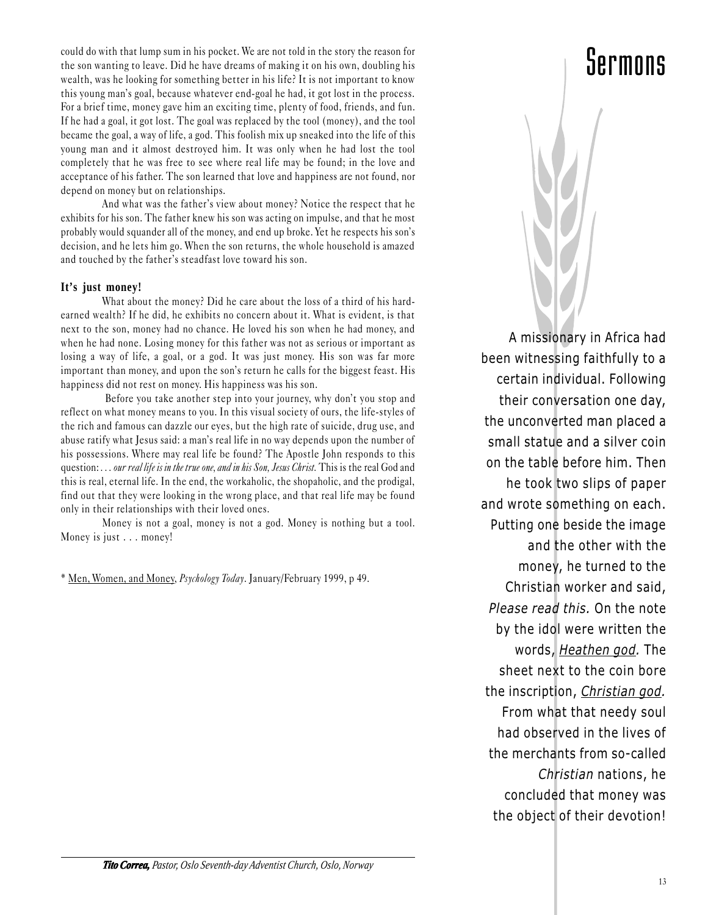could do with that lump sum in his pocket. We are not told in the story the reason for the son wanting to leave. Did he have dreams of making it on his own, doubling his wealth, was he looking for something better in his life? It is not important to know this young man's goal, because whatever end-goal he had, it got lost in the process. For a brief time, money gave him an exciting time, plenty of food, friends, and fun. If he had a goal, it got lost. The goal was replaced by the tool (money), and the tool became the goal, a way of life, a god. This foolish mix up sneaked into the life of this young man and it almost destroyed him. It was only when he had lost the tool completely that he was free to see where real life may be found; in the love and acceptance of his father. The son learned that love and happiness are not found, nor depend on money but on relationships.

And what was the father's view about money? Notice the respect that he exhibits for his son. The father knew his son was acting on impulse, and that he most probably would squander all of the money, and end up broke. Yet he respects his son's decision, and he lets him go. When the son returns, the whole household is amazed and touched by the father's steadfast love toward his son.

### **It's just money!**

What about the money? Did he care about the loss of a third of his hardearned wealth? If he did, he exhibits no concern about it. What is evident, is that next to the son, money had no chance. He loved his son when he had money, and when he had none. Losing money for this father was not as serious or important as losing a way of life, a goal, or a god. It was just money. His son was far more important than money, and upon the son's return he calls for the biggest feast. His happiness did not rest on money. His happiness was his son.

Before you take another step into your journey, why don't you stop and reflect on what money means to you. In this visual society of ours, the life-styles of the rich and famous can dazzle our eyes, but the high rate of suicide, drug use, and abuse ratify what Jesus said: a man's real life in no way depends upon the number of his possessions. Where may real life be found? The Apostle John responds to this question: ... our real life is in the true one, and in his Son, Jesus Christ. This is the real God and this is real, eternal life. In the end, the workaholic, the shopaholic, and the prodigal, find out that they were looking in the wrong place, and that real life may be found only in their relationships with their loved ones.

Money is not a goal, money is not a god. Money is nothing but a tool. Money is just . . . money!

\* Men, Women, and Money, Psychology Today. January/February 1999, p 49.

## Sermons

A missionary in Africa had been witnessing faithfully to a certain individual. Following their conversation one day, the unconverted man placed a small statue and a silver coin on the table before him. Then he took two slips of paper and wrote something on each. Putting one beside the image and the other with the money, he turned to the Christian worker and said, Please read this. On the note by the idol were written the words, Heathen god. The sheet next to the coin bore the inscription, *Christian god.* From what that needy soul had observed in the lives of the merchants from so-called Christian nations, he concluded that money was the object of their devotion!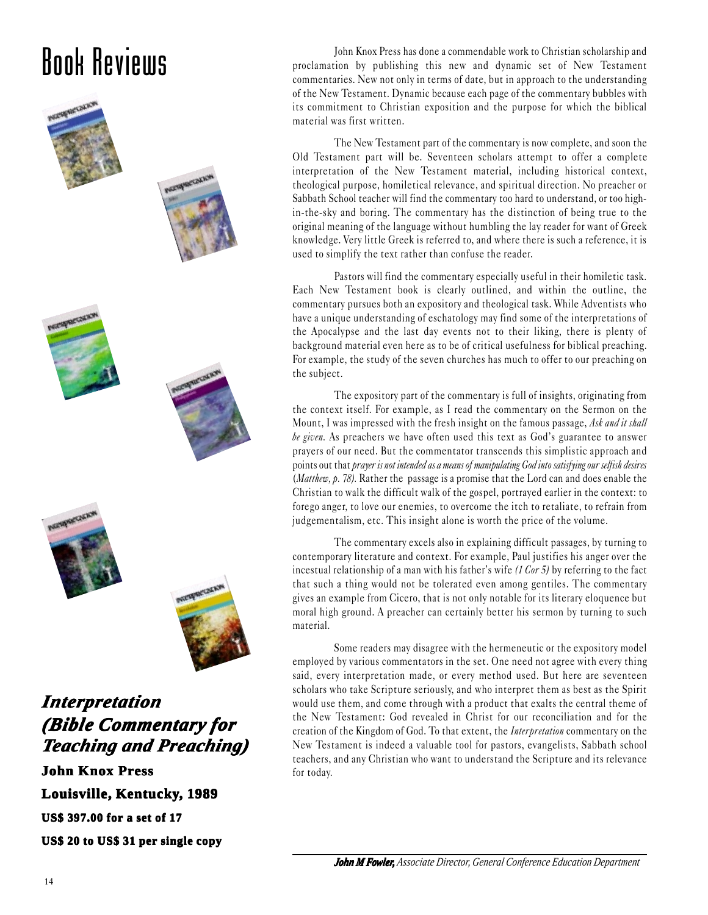## Book Reviews



**Louisville, Kentucky, 1989**

**US\$ 397.00 for a set of 17**

**US\$ 20 to US\$ 31 per single copy**

John Knox Press has done a commendable work to Christian scholarship and proclamation by publishing this new and dynamic set of New Testament commentaries. New not only in terms of date, but in approach to the understanding of the New Testament. Dynamic because each page of the commentary bubbles with its commitment to Christian exposition and the purpose for which the biblical material was first written.

The New Testament part of the commentary is now complete, and soon the Old Testament part will be. Seventeen scholars attempt to offer a complete interpretation of the New Testament material, including historical context, theological purpose, homiletical relevance, and spiritual direction. No preacher or Sabbath School teacher will find the commentary too hard to understand, or too highin-the-sky and boring. The commentary has the distinction of being true to the original meaning of the language without humbling the lay reader for want of Greek knowledge. Very little Greek is referred to, and where there is such a reference, it is used to simplify the text rather than confuse the reader.

Pastors will find the commentary especially useful in their homiletic task. Each New Testament book is clearly outlined, and within the outline, the commentary pursues both an expository and theological task. While Adventists who have a unique understanding of eschatology may find some of the interpretations of the Apocalypse and the last day events not to their liking, there is plenty of background material even here as to be of critical usefulness for biblical preaching. For example, the study of the seven churches has much to offer to our preaching on the subject.

The expository part of the commentary is full of insights, originating from the context itself. For example, as I read the commentary on the Sermon on the Mount, I was impressed with the fresh insight on the famous passage, Ask and it shall be given. As preachers we have often used this text as God's guarantee to answer prayers of our need. But the commentator transcends this simplistic approach and points out that prayer is not intended as a means of manipulating God into satisfying our selfish desires (Matthew, p. 78). Rather the passage is a promise that the Lord can and does enable the Christian to walk the difficult walk of the gospel, portrayed earlier in the context: to forego anger, to love our enemies, to overcome the itch to retaliate, to refrain from judgementalism, etc. This insight alone is worth the price of the volume.

The commentary excels also in explaining difficult passages, by turning to contemporary literature and context. For example, Paul justifies his anger over the incestual relationship of a man with his father's wife  $(1$  Cor 5) by referring to the fact that such a thing would not be tolerated even among gentiles. The commentary gives an example from Cicero, that is not only notable for its literary eloquence but moral high ground. A preacher can certainly better his sermon by turning to such material.

Some readers may disagree with the hermeneutic or the expository model employed by various commentators in the set. One need not agree with every thing said, every interpretation made, or every method used. But here are seventeen scholars who take Scripture seriously, and who interpret them as best as the Spirit would use them, and come through with a product that exalts the central theme of the New Testament: God revealed in Christ for our reconciliation and for the creation of the Kingdom of God. To that extent, the *Interpretation* commentary on the New Testament is indeed a valuable tool for pastors, evangelists, Sabbath school teachers, and any Christian who want to understand the Scripture and its relevance for today.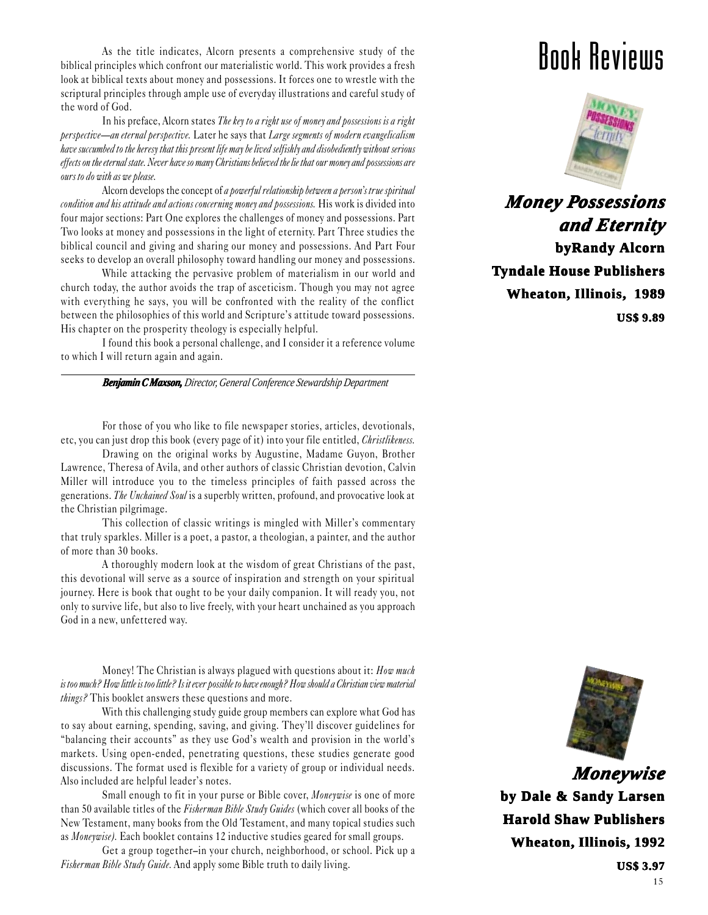As the title indicates, Alcorn presents a comprehensive study of the biblical principles which confront our materialistic world. This work provides a fresh look at biblical texts about money and possessions. It forces one to wrestle with the scriptural principles through ample use of everyday illustrations and careful study of the word of God.

In his preface, Alcorn states The key to a right use of money and possessions is a right perspective—an eternal perspective. Later he says that Large segments of modern evangelicalism have succumbed to the heresy that this present life may be lived selfishly and disobediently without serious effects on the eternal state. Never have so many Christians believed the lie that our money and possessions are ours to do with as we please.

Alcorn develops the concept of a powerful relationship between a person's true spiritual condition and his attitude and actions concerning money and possessions. His work is divided into four major sections: Part One explores the challenges of money and possessions. Part Two looks at money and possessions in the light of eternity. Part Three studies the biblical council and giving and sharing our money and possessions. And Part Four seeks to develop an overall philosophy toward handling our money and possessions.

While attacking the pervasive problem of materialism in our world and church today, the author avoids the trap of asceticism. Though you may not agree with everything he says, you will be confronted with the reality of the conflict between the philosophies of this world and Scripture's attitude toward possessions. His chapter on the prosperity theology is especially helpful.

I found this book a personal challenge, and I consider it a reference volume to which I will return again and again.

*Benjamin C Maxson, C Director, General Conference Stewardship Department*

For those of you who like to file newspaper stories, articles, devotionals, etc, you can just drop this book (every page of it) into your file entitled, *Christlikeness*.

Drawing on the original works by Augustine, Madame Guyon, Brother Lawrence, Theresa of Avila, and other authors of classic Christian devotion, Calvin Miller will introduce you to the timeless principles of faith passed across the generations. The Unchained Soul is a superbly written, profound, and provocative look at the Christian pilgrimage.

This collection of classic writings is mingled with Miller's commentary that truly sparkles. Miller is a poet, a pastor, a theologian, a painter, and the author of more than 30 books.

A thoroughly modern look at the wisdom of great Christians of the past, this devotional will serve as a source of inspiration and strength on your spiritual journey. Here is book that ought to be your daily companion. It will ready you, not only to survive life, but also to live freely, with your heart unchained as you approach God in a new, unfettered way.

Money! The Christian is always plagued with questions about it: *How much* is too much? How little is too little? Is it ever possible to have enough? How should a Christian view material things? This booklet answers these questions and more.

With this challenging study guide group members can explore what God has to say about earning, spending, saving, and giving. Theyll discover guidelines for "balancing their accounts" as they use God's wealth and provision in the world's markets. Using open-ended, penetrating questions, these studies generate good discussions. The format used is flexible for a variety of group or individual needs. Also included are helpful leader's notes.

Small enough to fit in your purse or Bible cover, *Moneywise* is one of more than 50 available titles of the Fisherman Bible Study Guides (which cover all books of the New Testament, many books from the Old Testament, and many topical studies such as Moneywise). Each booklet contains 12 inductive studies geared for small groups.

Get a group together-in your church, neighborhood, or school. Pick up a Fisherman Bible Study Guide. And apply some Bible truth to daily living.

### Book Reviews



*Money Possessions ossessions and Eternity and Eternity*  **byRandy Alcorn Tyndale House Publishers Wheaton, Illinois, 1989 US\$ 9.89**



*Moneywise Moneywise*  **by Dale & Sandy Larsen Harold Shaw Publishers Harold Wheaton, Illinois, 1992**